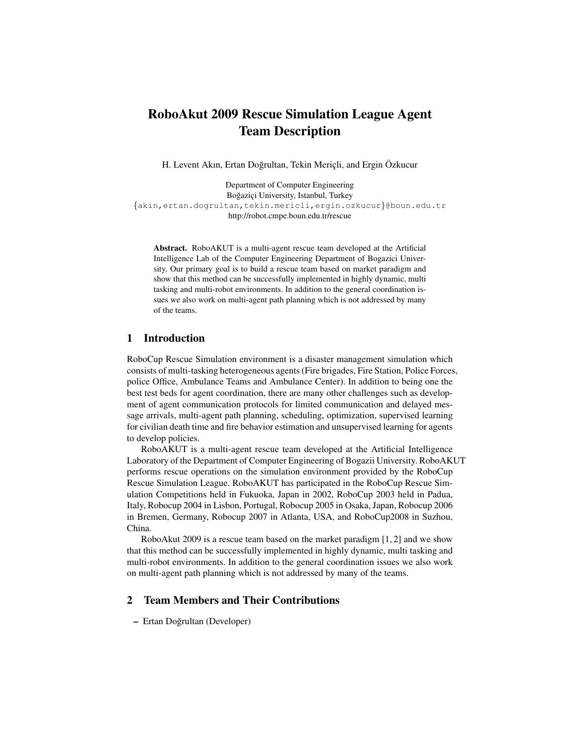# RoboAkut 2009 Rescue Simulation League Agent Team Description

H. Levent Akın, Ertan Doğrultan, Tekin Meriçli, and Ergin Özkucur

Department of Computer Engineering Boğaziçi University, Istanbul, Turkey {akin,ertan.dogrultan,tekin.mericli,ergin.ozkucur}@boun.edu.tr http://robot.cmpe.boun.edu.tr/rescue

Abstract. RoboAKUT is a multi-agent rescue team developed at the Artificial Intelligence Lab of the Computer Engineering Department of Bogazici University. Our primary goal is to build a rescue team based on market paradigm and show that this method can be successfully implemented in highly dynamic, multi tasking and multi-robot environments. In addition to the general coordination issues we also work on multi-agent path planning which is not addressed by many of the teams.

# 1 Introduction

RoboCup Rescue Simulation environment is a disaster management simulation which consists of multi-tasking heterogeneous agents (Fire brigades, Fire Station, Police Forces, police Office, Ambulance Teams and Ambulance Center). In addition to being one the best test beds for agent coordination, there are many other challenges such as development of agent communication protocols for limited communication and delayed message arrivals, multi-agent path planning, scheduling, optimization, supervised learning for civilian death time and fire behavior estimation and unsupervised learning for agents to develop policies.

RoboAKUT is a multi-agent rescue team developed at the Artificial Intelligence Laboratory of the Department of Computer Engineering of Bogazii University. RoboAKUT performs rescue operations on the simulation environment provided by the RoboCup Rescue Simulation League. RoboAKUT has participated in the RoboCup Rescue Simulation Competitions held in Fukuoka, Japan in 2002, RoboCup 2003 held in Padua, Italy, Robocup 2004 in Lisbon, Portugal, Robocup 2005 in Osaka, Japan, Robocup 2006 in Bremen, Germany, Robocup 2007 in Atlanta, USA, and RoboCup2008 in Suzhou, China.

RoboAkut 2009 is a rescue team based on the market paradigm [1, 2] and we show that this method can be successfully implemented in highly dynamic, multi tasking and multi-robot environments. In addition to the general coordination issues we also work on multi-agent path planning which is not addressed by many of the teams.

# 2 Team Members and Their Contributions

– Ertan Dogrultan (Developer) ˘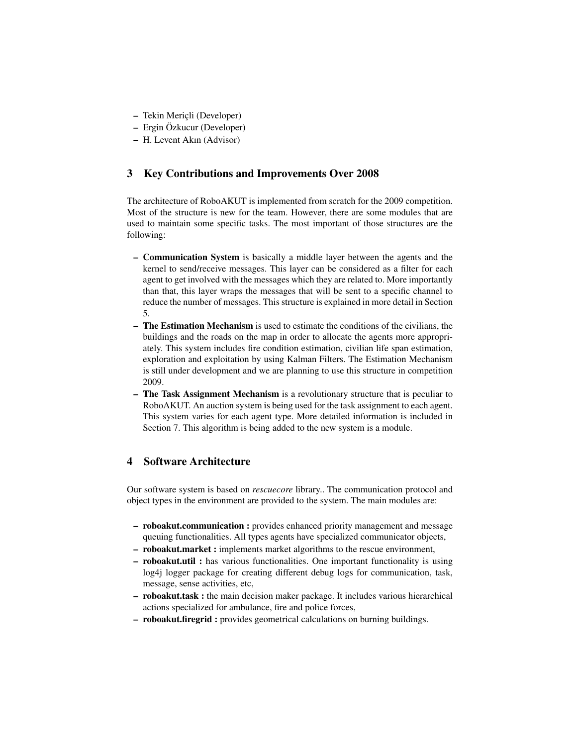- Tekin Meric<sub>li</sub> (Developer)
- Ergin Ozkucur (Developer) ¨
- H. Levent Akın (Advisor)

# 3 Key Contributions and Improvements Over 2008

The architecture of RoboAKUT is implemented from scratch for the 2009 competition. Most of the structure is new for the team. However, there are some modules that are used to maintain some specific tasks. The most important of those structures are the following:

- Communication System is basically a middle layer between the agents and the kernel to send/receive messages. This layer can be considered as a filter for each agent to get involved with the messages which they are related to. More importantly than that, this layer wraps the messages that will be sent to a specific channel to reduce the number of messages. This structure is explained in more detail in Section 5.
- The Estimation Mechanism is used to estimate the conditions of the civilians, the buildings and the roads on the map in order to allocate the agents more appropriately. This system includes fire condition estimation, civilian life span estimation, exploration and exploitation by using Kalman Filters. The Estimation Mechanism is still under development and we are planning to use this structure in competition 2009.
- The Task Assignment Mechanism is a revolutionary structure that is peculiar to RoboAKUT. An auction system is being used for the task assignment to each agent. This system varies for each agent type. More detailed information is included in Section 7. This algorithm is being added to the new system is a module.

# 4 Software Architecture

Our software system is based on *rescuecore* library.. The communication protocol and object types in the environment are provided to the system. The main modules are:

- roboakut.communication : provides enhanced priority management and message queuing functionalities. All types agents have specialized communicator objects,
- roboakut.market : implements market algorithms to the rescue environment,
- roboakut.util : has various functionalities. One important functionality is using log4j logger package for creating different debug logs for communication, task, message, sense activities, etc,
- roboakut.task : the main decision maker package. It includes various hierarchical actions specialized for ambulance, fire and police forces,
- roboakut.firegrid : provides geometrical calculations on burning buildings.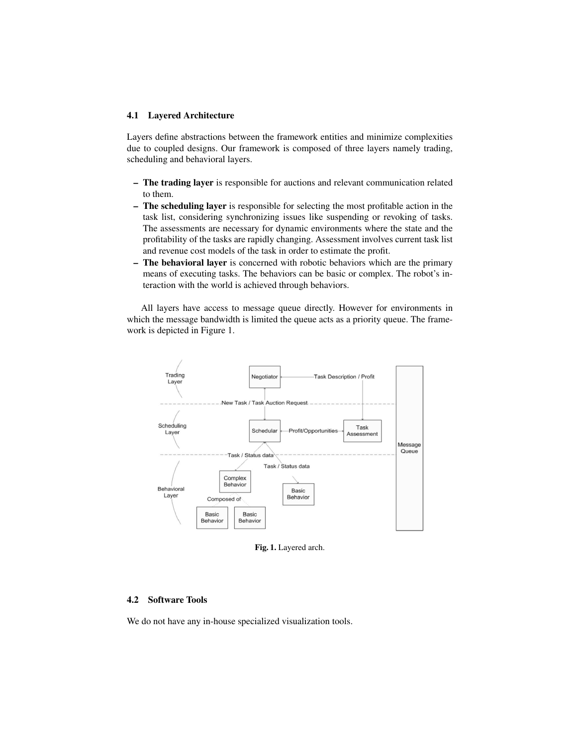## 4.1 Layered Architecture

Layers define abstractions between the framework entities and minimize complexities due to coupled designs. Our framework is composed of three layers namely trading, scheduling and behavioral layers.

- The trading layer is responsible for auctions and relevant communication related to them.
- The scheduling layer is responsible for selecting the most profitable action in the task list, considering synchronizing issues like suspending or revoking of tasks. The assessments are necessary for dynamic environments where the state and the profitability of the tasks are rapidly changing. Assessment involves current task list and revenue cost models of the task in order to estimate the profit.
- The behavioral layer is concerned with robotic behaviors which are the primary means of executing tasks. The behaviors can be basic or complex. The robot's interaction with the world is achieved through behaviors.

All layers have access to message queue directly. However for environments in which the message bandwidth is limited the queue acts as a priority queue. The framework is depicted in Figure 1.



Fig. 1. Layered arch.

# 4.2 Software Tools

We do not have any in-house specialized visualization tools.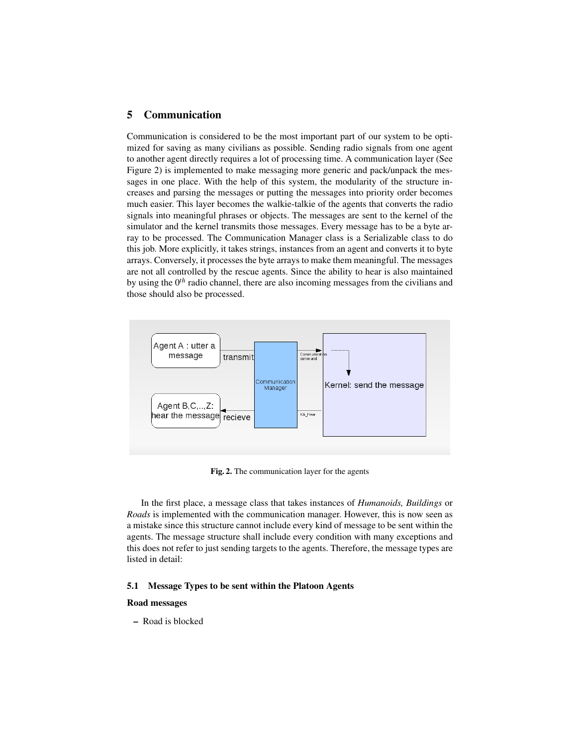# 5 Communication

Communication is considered to be the most important part of our system to be optimized for saving as many civilians as possible. Sending radio signals from one agent to another agent directly requires a lot of processing time. A communication layer (See Figure 2) is implemented to make messaging more generic and pack/unpack the messages in one place. With the help of this system, the modularity of the structure increases and parsing the messages or putting the messages into priority order becomes much easier. This layer becomes the walkie-talkie of the agents that converts the radio signals into meaningful phrases or objects. The messages are sent to the kernel of the simulator and the kernel transmits those messages. Every message has to be a byte array to be processed. The Communication Manager class is a Serializable class to do this job. More explicitly, it takes strings, instances from an agent and converts it to byte arrays. Conversely, it processes the byte arrays to make them meaningful. The messages are not all controlled by the rescue agents. Since the ability to hear is also maintained by using the 0*th* radio channel, there are also incoming messages from the civilians and those should also be processed.



Fig. 2. The communication layer for the agents

In the first place, a message class that takes instances of *Humanoids, Buildings* or *Roads* is implemented with the communication manager. However, this is now seen as a mistake since this structure cannot include every kind of message to be sent within the agents. The message structure shall include every condition with many exceptions and this does not refer to just sending targets to the agents. Therefore, the message types are listed in detail:

## 5.1 Message Types to be sent within the Platoon Agents

#### Road messages

– Road is blocked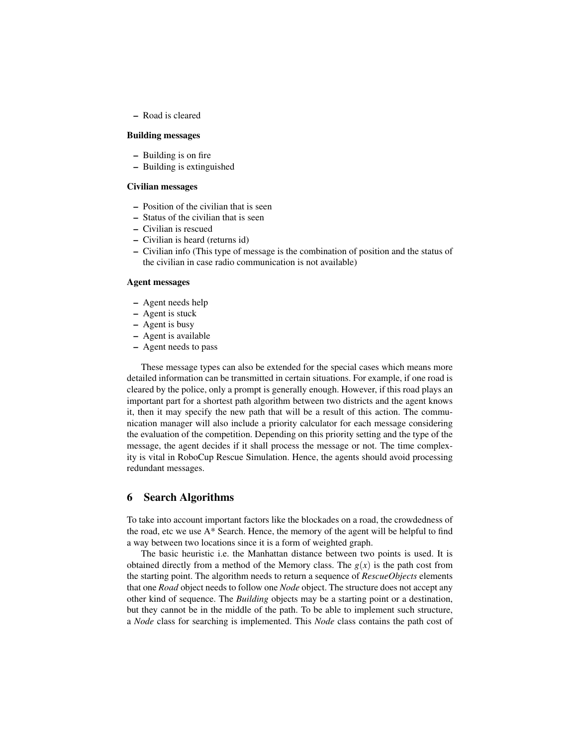– Road is cleared

## Building messages

- Building is on fire
- Building is extinguished

# Civilian messages

- Position of the civilian that is seen
- Status of the civilian that is seen
- Civilian is rescued
- Civilian is heard (returns id)
- Civilian info (This type of message is the combination of position and the status of the civilian in case radio communication is not available)

#### Agent messages

- Agent needs help
- Agent is stuck
- Agent is busy
- Agent is available
- Agent needs to pass

These message types can also be extended for the special cases which means more detailed information can be transmitted in certain situations. For example, if one road is cleared by the police, only a prompt is generally enough. However, if this road plays an important part for a shortest path algorithm between two districts and the agent knows it, then it may specify the new path that will be a result of this action. The communication manager will also include a priority calculator for each message considering the evaluation of the competition. Depending on this priority setting and the type of the message, the agent decides if it shall process the message or not. The time complexity is vital in RoboCup Rescue Simulation. Hence, the agents should avoid processing redundant messages.

# 6 Search Algorithms

To take into account important factors like the blockades on a road, the crowdedness of the road, etc we use  $A^*$  Search. Hence, the memory of the agent will be helpful to find a way between two locations since it is a form of weighted graph.

The basic heuristic i.e. the Manhattan distance between two points is used. It is obtained directly from a method of the Memory class. The  $g(x)$  is the path cost from the starting point. The algorithm needs to return a sequence of *RescueObjects* elements that one *Road* object needs to follow one *Node* object. The structure does not accept any other kind of sequence. The *Building* objects may be a starting point or a destination, but they cannot be in the middle of the path. To be able to implement such structure, a *Node* class for searching is implemented. This *Node* class contains the path cost of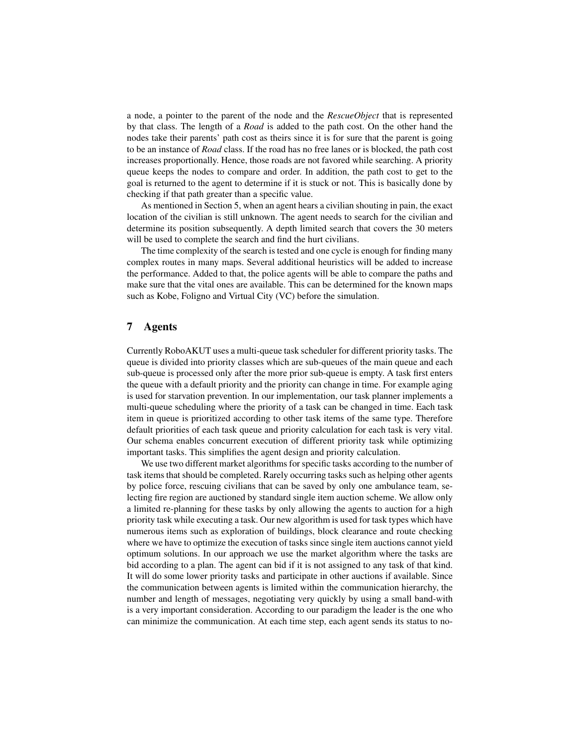a node, a pointer to the parent of the node and the *RescueObject* that is represented by that class. The length of a *Road* is added to the path cost. On the other hand the nodes take their parents' path cost as theirs since it is for sure that the parent is going to be an instance of *Road* class. If the road has no free lanes or is blocked, the path cost increases proportionally. Hence, those roads are not favored while searching. A priority queue keeps the nodes to compare and order. In addition, the path cost to get to the goal is returned to the agent to determine if it is stuck or not. This is basically done by checking if that path greater than a specific value.

As mentioned in Section 5, when an agent hears a civilian shouting in pain, the exact location of the civilian is still unknown. The agent needs to search for the civilian and determine its position subsequently. A depth limited search that covers the 30 meters will be used to complete the search and find the hurt civilians.

The time complexity of the search is tested and one cycle is enough for finding many complex routes in many maps. Several additional heuristics will be added to increase the performance. Added to that, the police agents will be able to compare the paths and make sure that the vital ones are available. This can be determined for the known maps such as Kobe, Foligno and Virtual City (VC) before the simulation.

# 7 Agents

Currently RoboAKUT uses a multi-queue task scheduler for different priority tasks. The queue is divided into priority classes which are sub-queues of the main queue and each sub-queue is processed only after the more prior sub-queue is empty. A task first enters the queue with a default priority and the priority can change in time. For example aging is used for starvation prevention. In our implementation, our task planner implements a multi-queue scheduling where the priority of a task can be changed in time. Each task item in queue is prioritized according to other task items of the same type. Therefore default priorities of each task queue and priority calculation for each task is very vital. Our schema enables concurrent execution of different priority task while optimizing important tasks. This simplifies the agent design and priority calculation.

We use two different market algorithms for specific tasks according to the number of task items that should be completed. Rarely occurring tasks such as helping other agents by police force, rescuing civilians that can be saved by only one ambulance team, selecting fire region are auctioned by standard single item auction scheme. We allow only a limited re-planning for these tasks by only allowing the agents to auction for a high priority task while executing a task. Our new algorithm is used for task types which have numerous items such as exploration of buildings, block clearance and route checking where we have to optimize the execution of tasks since single item auctions cannot yield optimum solutions. In our approach we use the market algorithm where the tasks are bid according to a plan. The agent can bid if it is not assigned to any task of that kind. It will do some lower priority tasks and participate in other auctions if available. Since the communication between agents is limited within the communication hierarchy, the number and length of messages, negotiating very quickly by using a small band-with is a very important consideration. According to our paradigm the leader is the one who can minimize the communication. At each time step, each agent sends its status to no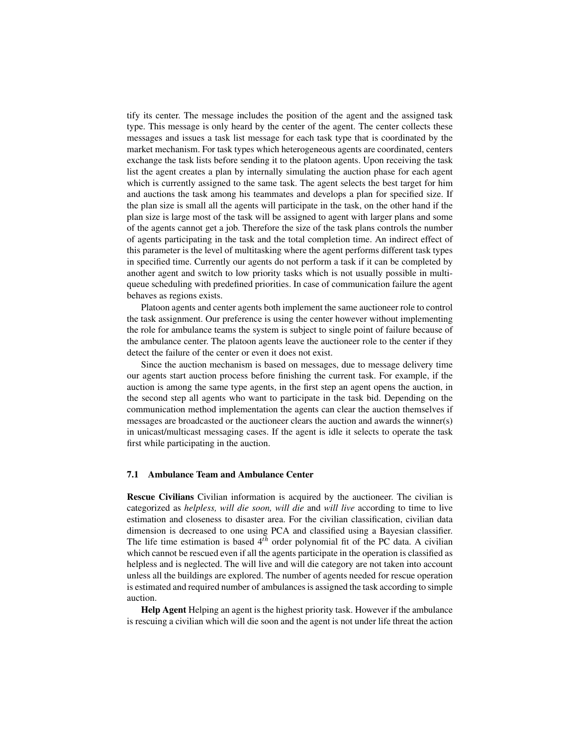tify its center. The message includes the position of the agent and the assigned task type. This message is only heard by the center of the agent. The center collects these messages and issues a task list message for each task type that is coordinated by the market mechanism. For task types which heterogeneous agents are coordinated, centers exchange the task lists before sending it to the platoon agents. Upon receiving the task list the agent creates a plan by internally simulating the auction phase for each agent which is currently assigned to the same task. The agent selects the best target for him and auctions the task among his teammates and develops a plan for specified size. If the plan size is small all the agents will participate in the task, on the other hand if the plan size is large most of the task will be assigned to agent with larger plans and some of the agents cannot get a job. Therefore the size of the task plans controls the number of agents participating in the task and the total completion time. An indirect effect of this parameter is the level of multitasking where the agent performs different task types in specified time. Currently our agents do not perform a task if it can be completed by another agent and switch to low priority tasks which is not usually possible in multiqueue scheduling with predefined priorities. In case of communication failure the agent behaves as regions exists.

Platoon agents and center agents both implement the same auctioneer role to control the task assignment. Our preference is using the center however without implementing the role for ambulance teams the system is subject to single point of failure because of the ambulance center. The platoon agents leave the auctioneer role to the center if they detect the failure of the center or even it does not exist.

Since the auction mechanism is based on messages, due to message delivery time our agents start auction process before finishing the current task. For example, if the auction is among the same type agents, in the first step an agent opens the auction, in the second step all agents who want to participate in the task bid. Depending on the communication method implementation the agents can clear the auction themselves if messages are broadcasted or the auctioneer clears the auction and awards the winner(s) in unicast/multicast messaging cases. If the agent is idle it selects to operate the task first while participating in the auction.

#### 7.1 Ambulance Team and Ambulance Center

Rescue Civilians Civilian information is acquired by the auctioneer. The civilian is categorized as *helpless, will die soon, will die* and *will live* according to time to live estimation and closeness to disaster area. For the civilian classification, civilian data dimension is decreased to one using PCA and classified using a Bayesian classifier. The life time estimation is based 4*th* order polynomial fit of the PC data. A civilian which cannot be rescued even if all the agents participate in the operation is classified as helpless and is neglected. The will live and will die category are not taken into account unless all the buildings are explored. The number of agents needed for rescue operation is estimated and required number of ambulances is assigned the task according to simple auction.

Help Agent Helping an agent is the highest priority task. However if the ambulance is rescuing a civilian which will die soon and the agent is not under life threat the action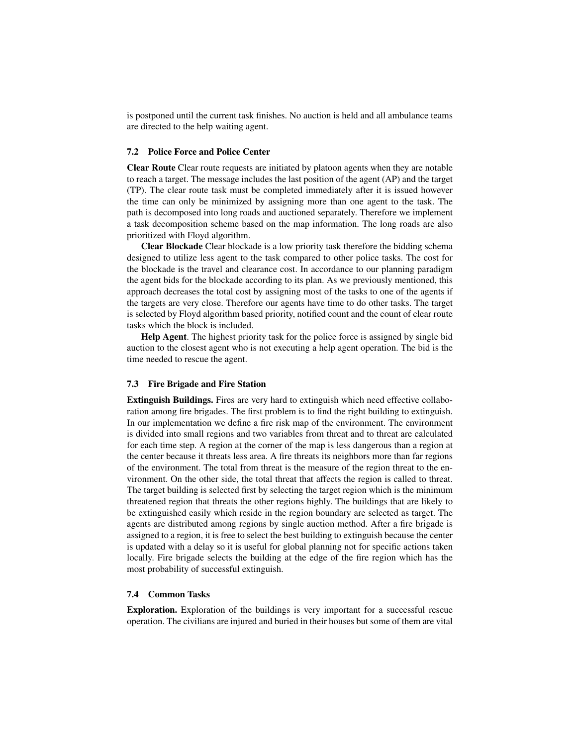is postponed until the current task finishes. No auction is held and all ambulance teams are directed to the help waiting agent.

### 7.2 Police Force and Police Center

Clear Route Clear route requests are initiated by platoon agents when they are notable to reach a target. The message includes the last position of the agent (AP) and the target (TP). The clear route task must be completed immediately after it is issued however the time can only be minimized by assigning more than one agent to the task. The path is decomposed into long roads and auctioned separately. Therefore we implement a task decomposition scheme based on the map information. The long roads are also prioritized with Floyd algorithm.

Clear Blockade Clear blockade is a low priority task therefore the bidding schema designed to utilize less agent to the task compared to other police tasks. The cost for the blockade is the travel and clearance cost. In accordance to our planning paradigm the agent bids for the blockade according to its plan. As we previously mentioned, this approach decreases the total cost by assigning most of the tasks to one of the agents if the targets are very close. Therefore our agents have time to do other tasks. The target is selected by Floyd algorithm based priority, notified count and the count of clear route tasks which the block is included.

Help Agent. The highest priority task for the police force is assigned by single bid auction to the closest agent who is not executing a help agent operation. The bid is the time needed to rescue the agent.

### 7.3 Fire Brigade and Fire Station

Extinguish Buildings. Fires are very hard to extinguish which need effective collaboration among fire brigades. The first problem is to find the right building to extinguish. In our implementation we define a fire risk map of the environment. The environment is divided into small regions and two variables from threat and to threat are calculated for each time step. A region at the corner of the map is less dangerous than a region at the center because it threats less area. A fire threats its neighbors more than far regions of the environment. The total from threat is the measure of the region threat to the environment. On the other side, the total threat that affects the region is called to threat. The target building is selected first by selecting the target region which is the minimum threatened region that threats the other regions highly. The buildings that are likely to be extinguished easily which reside in the region boundary are selected as target. The agents are distributed among regions by single auction method. After a fire brigade is assigned to a region, it is free to select the best building to extinguish because the center is updated with a delay so it is useful for global planning not for specific actions taken locally. Fire brigade selects the building at the edge of the fire region which has the most probability of successful extinguish.

### 7.4 Common Tasks

Exploration. Exploration of the buildings is very important for a successful rescue operation. The civilians are injured and buried in their houses but some of them are vital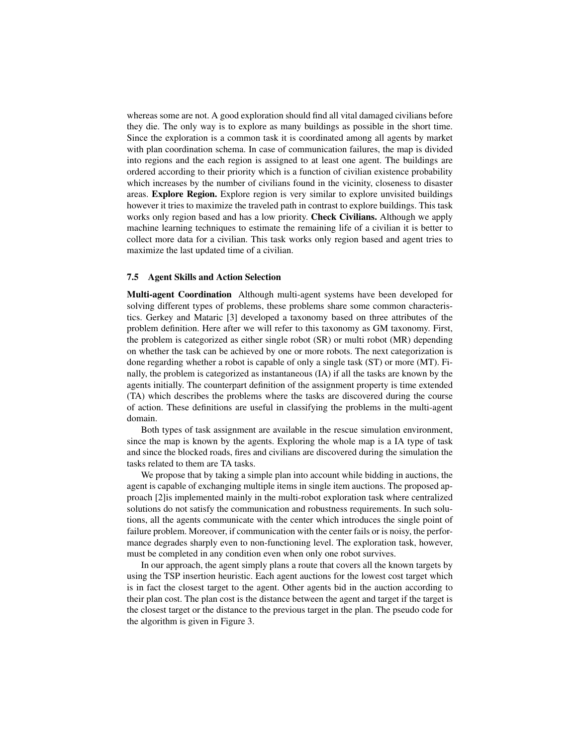whereas some are not. A good exploration should find all vital damaged civilians before they die. The only way is to explore as many buildings as possible in the short time. Since the exploration is a common task it is coordinated among all agents by market with plan coordination schema. In case of communication failures, the map is divided into regions and the each region is assigned to at least one agent. The buildings are ordered according to their priority which is a function of civilian existence probability which increases by the number of civilians found in the vicinity, closeness to disaster areas. Explore Region. Explore region is very similar to explore unvisited buildings however it tries to maximize the traveled path in contrast to explore buildings. This task works only region based and has a low priority. Check Civilians. Although we apply machine learning techniques to estimate the remaining life of a civilian it is better to collect more data for a civilian. This task works only region based and agent tries to maximize the last updated time of a civilian.

### 7.5 Agent Skills and Action Selection

Multi-agent Coordination Although multi-agent systems have been developed for solving different types of problems, these problems share some common characteristics. Gerkey and Mataric [3] developed a taxonomy based on three attributes of the problem definition. Here after we will refer to this taxonomy as GM taxonomy. First, the problem is categorized as either single robot (SR) or multi robot (MR) depending on whether the task can be achieved by one or more robots. The next categorization is done regarding whether a robot is capable of only a single task (ST) or more (MT). Finally, the problem is categorized as instantaneous (IA) if all the tasks are known by the agents initially. The counterpart definition of the assignment property is time extended (TA) which describes the problems where the tasks are discovered during the course of action. These definitions are useful in classifying the problems in the multi-agent domain.

Both types of task assignment are available in the rescue simulation environment, since the map is known by the agents. Exploring the whole map is a IA type of task and since the blocked roads, fires and civilians are discovered during the simulation the tasks related to them are TA tasks.

We propose that by taking a simple plan into account while bidding in auctions, the agent is capable of exchanging multiple items in single item auctions. The proposed approach [2]is implemented mainly in the multi-robot exploration task where centralized solutions do not satisfy the communication and robustness requirements. In such solutions, all the agents communicate with the center which introduces the single point of failure problem. Moreover, if communication with the center fails or is noisy, the performance degrades sharply even to non-functioning level. The exploration task, however, must be completed in any condition even when only one robot survives.

In our approach, the agent simply plans a route that covers all the known targets by using the TSP insertion heuristic. Each agent auctions for the lowest cost target which is in fact the closest target to the agent. Other agents bid in the auction according to their plan cost. The plan cost is the distance between the agent and target if the target is the closest target or the distance to the previous target in the plan. The pseudo code for the algorithm is given in Figure 3.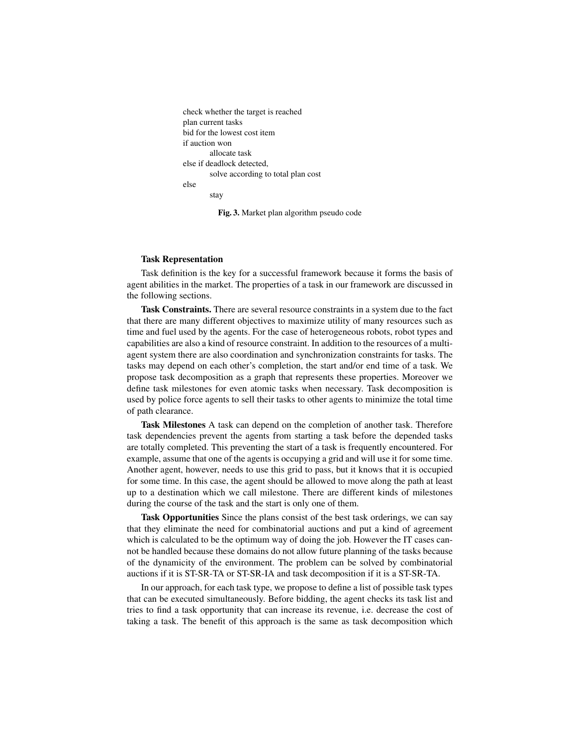```
check whether the target is reached
plan current tasks
bid for the lowest cost item
if auction won
        allocate task
else if deadlock detected,
        solve according to total plan cost
else
        stay
```
Fig. 3. Market plan algorithm pseudo code

#### Task Representation

Task definition is the key for a successful framework because it forms the basis of agent abilities in the market. The properties of a task in our framework are discussed in the following sections.

Task Constraints. There are several resource constraints in a system due to the fact that there are many different objectives to maximize utility of many resources such as time and fuel used by the agents. For the case of heterogeneous robots, robot types and capabilities are also a kind of resource constraint. In addition to the resources of a multiagent system there are also coordination and synchronization constraints for tasks. The tasks may depend on each other's completion, the start and/or end time of a task. We propose task decomposition as a graph that represents these properties. Moreover we define task milestones for even atomic tasks when necessary. Task decomposition is used by police force agents to sell their tasks to other agents to minimize the total time of path clearance.

Task Milestones A task can depend on the completion of another task. Therefore task dependencies prevent the agents from starting a task before the depended tasks are totally completed. This preventing the start of a task is frequently encountered. For example, assume that one of the agents is occupying a grid and will use it for some time. Another agent, however, needs to use this grid to pass, but it knows that it is occupied for some time. In this case, the agent should be allowed to move along the path at least up to a destination which we call milestone. There are different kinds of milestones during the course of the task and the start is only one of them.

Task Opportunities Since the plans consist of the best task orderings, we can say that they eliminate the need for combinatorial auctions and put a kind of agreement which is calculated to be the optimum way of doing the job. However the IT cases cannot be handled because these domains do not allow future planning of the tasks because of the dynamicity of the environment. The problem can be solved by combinatorial auctions if it is ST-SR-TA or ST-SR-IA and task decomposition if it is a ST-SR-TA.

In our approach, for each task type, we propose to define a list of possible task types that can be executed simultaneously. Before bidding, the agent checks its task list and tries to find a task opportunity that can increase its revenue, i.e. decrease the cost of taking a task. The benefit of this approach is the same as task decomposition which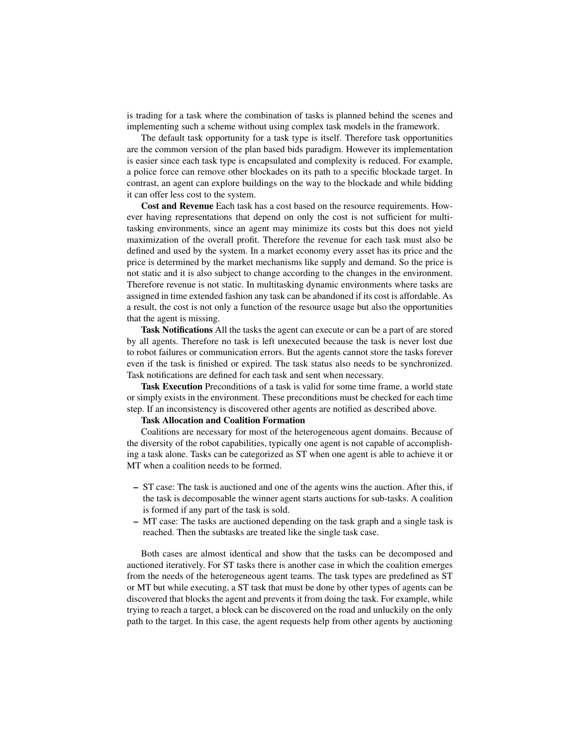is trading for a task where the combination of tasks is planned behind the scenes and implementing such a scheme without using complex task models in the framework.

The default task opportunity for a task type is itself. Therefore task opportunities are the common version of the plan based bids paradigm. However its implementation is easier since each task type is encapsulated and complexity is reduced. For example, a police force can remove other blockades on its path to a specific blockade target. In contrast, an agent can explore buildings on the way to the blockade and while bidding it can offer less cost to the system.

Cost and Revenue Each task has a cost based on the resource requirements. However having representations that depend on only the cost is not sufficient for multitasking environments, since an agent may minimize its costs but this does not yield maximization of the overall profit. Therefore the revenue for each task must also be defined and used by the system. In a market economy every asset has its price and the price is determined by the market mechanisms like supply and demand. So the price is not static and it is also subject to change according to the changes in the environment. Therefore revenue is not static. In multitasking dynamic environments where tasks are assigned in time extended fashion any task can be abandoned if its cost is affordable. As a result, the cost is not only a function of the resource usage but also the opportunities that the agent is missing.

Task Notifications All the tasks the agent can execute or can be a part of are stored by all agents. Therefore no task is left unexecuted because the task is never lost due to robot failures or communication errors. But the agents cannot store the tasks forever even if the task is finished or expired. The task status also needs to be synchronized. Task notifications are defined for each task and sent when necessary.

Task Execution Preconditions of a task is valid for some time frame, a world state or simply exists in the environment. These preconditions must be checked for each time step. If an inconsistency is discovered other agents are notified as described above.

## Task Allocation and Coalition Formation

Coalitions are necessary for most of the heterogeneous agent domains. Because of the diversity of the robot capabilities, typically one agent is not capable of accomplishing a task alone. Tasks can be categorized as ST when one agent is able to achieve it or MT when a coalition needs to be formed.

- ST case: The task is auctioned and one of the agents wins the auction. After this, if the task is decomposable the winner agent starts auctions for sub-tasks. A coalition is formed if any part of the task is sold.
- MT case: The tasks are auctioned depending on the task graph and a single task is reached. Then the subtasks are treated like the single task case.

Both cases are almost identical and show that the tasks can be decomposed and auctioned iteratively. For ST tasks there is another case in which the coalition emerges from the needs of the heterogeneous agent teams. The task types are predefined as ST or MT but while executing, a ST task that must be done by other types of agents can be discovered that blocks the agent and prevents it from doing the task. For example, while trying to reach a target, a block can be discovered on the road and unluckily on the only path to the target. In this case, the agent requests help from other agents by auctioning